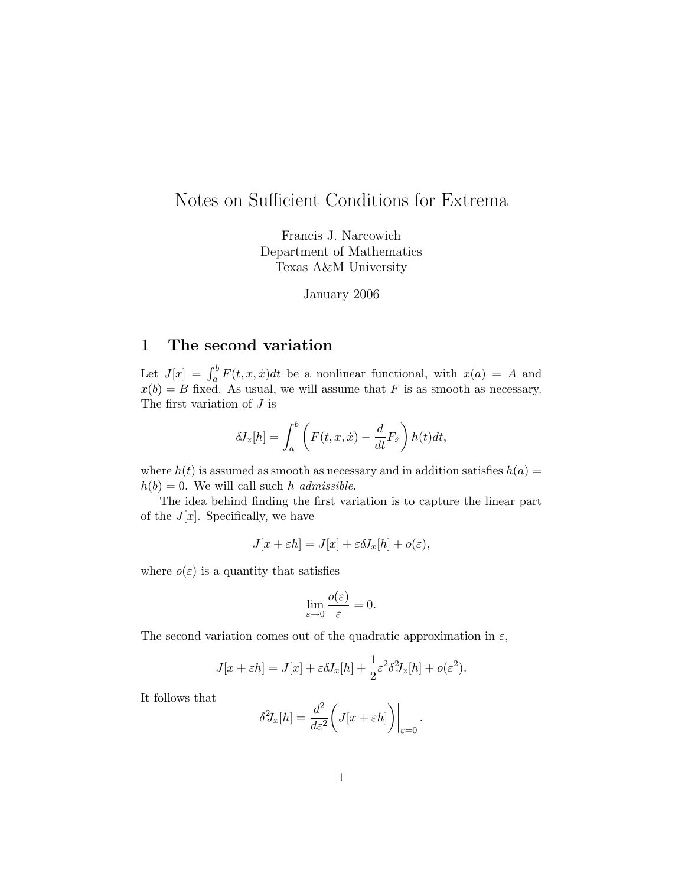# Notes on Sufficient Conditions for Extrema

Francis J. Narcowich Department of Mathematics Texas A&M University

January 2006

## 1 The second variation

Let  $J[x] = \int_a^b F(t, x, \dot{x}) dt$  be a nonlinear functional, with  $x(a) = A$  and  $x(b) = B$  fixed. As usual, we will assume that F is as smooth as necessary. The first variation of J is

$$
\delta J_x[h] = \int_a^b \left( F(t, x, \dot{x}) - \frac{d}{dt} F_{\dot{x}} \right) h(t) dt,
$$

where  $h(t)$  is assumed as smooth as necessary and in addition satisfies  $h(a)$  =  $h(b) = 0$ . We will call such h admissible.

The idea behind finding the first variation is to capture the linear part of the  $J[x]$ . Specifically, we have

$$
J[x + \varepsilon h] = J[x] + \varepsilon \delta J_x[h] + o(\varepsilon),
$$

where  $o(\varepsilon)$  is a quantity that satisfies

$$
\lim_{\varepsilon \to 0} \frac{o(\varepsilon)}{\varepsilon} = 0.
$$

The second variation comes out of the quadratic approximation in  $\varepsilon$ ,

$$
J[x + \varepsilon h] = J[x] + \varepsilon \delta J_x[h] + \frac{1}{2} \varepsilon^2 \delta^2 J_x[h] + o(\varepsilon^2).
$$

It follows that

$$
\delta^2 J_x[h] = \frac{d^2}{d\varepsilon^2} \bigg( J[x + \varepsilon h] \bigg) \bigg|_{\varepsilon = 0}.
$$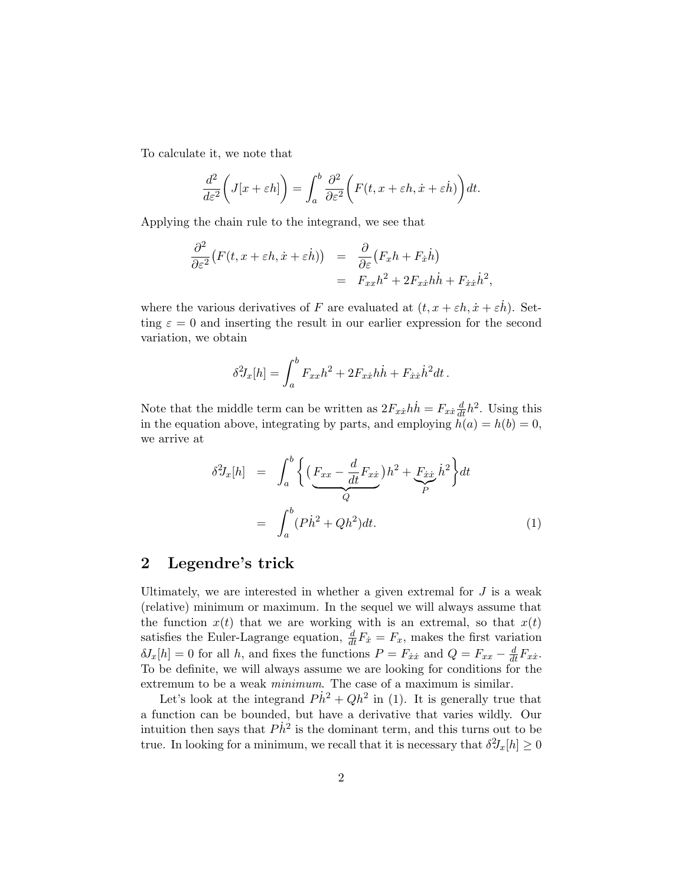To calculate it, we note that

$$
\frac{d^2}{d\varepsilon^2} \bigg( J[x + \varepsilon h] \bigg) = \int_a^b \frac{\partial^2}{\partial \varepsilon^2} \bigg( F(t, x + \varepsilon h, \dot{x} + \varepsilon \dot{h}) \bigg) dt.
$$

Applying the chain rule to the integrand, we see that

$$
\frac{\partial^2}{\partial \varepsilon^2} \big( F(t, x + \varepsilon h, \dot{x} + \varepsilon \dot{h}) \big) = \frac{\partial}{\partial \varepsilon} \big( F_x h + F_{\dot{x}} \dot{h} \big) \n= F_{xx} h^2 + 2F_{x\dot{x}} h \dot{h} + F_{\dot{x}\dot{x}} \dot{h}^2,
$$

where the various derivatives of F are evaluated at  $(t, x + \varepsilon h, \dot{x} + \varepsilon \dot{h})$ . Setting  $\varepsilon = 0$  and inserting the result in our earlier expression for the second variation, we obtain

$$
\delta^2 J_x[h] = \int_a^b F_{xx}h^2 + 2F_{xx}h\dot{h} + F_{\dot{x}\dot{x}}\dot{h}^2 dt.
$$

Note that the middle term can be written as  $2F_{x\dot{x}}h\dot{h} = F_{x\dot{x}}\frac{d}{dt}h^2$ . Using this in the equation above, integrating by parts, and employing  $h(a) = h(b) = 0$ , we arrive at

$$
\delta^2 J_x[h] = \int_a^b \left\{ \left( \underbrace{F_{xx} - \frac{d}{dt} F_{xx}}_{Q} \right) h^2 + \underbrace{F_{xx} h^2}_{P} \right\} dt
$$

$$
= \int_a^b (P \dot{h}^2 + Q h^2) dt. \tag{1}
$$

#### 2 Legendre's trick

Ultimately, we are interested in whether a given extremal for  $J$  is a weak (relative) minimum or maximum. In the sequel we will always assume that the function  $x(t)$  that we are working with is an extremal, so that  $x(t)$ satisfies the Euler-Lagrange equation,  $\frac{d}{dt}F_{\dot{x}}=F_{x}$ , makes the first variation  $\delta J_x[h] = 0$  for all h, and fixes the functions  $P = F_{\dot{x}\dot{x}}$  and  $Q = F_{xx} - \frac{d}{dt}F_{x\dot{x}}$ . To be definite, we will always assume we are looking for conditions for the extremum to be a weak minimum. The case of a maximum is similar.

Let's look at the integrand  $P\dot{h}^2 + Qh^2$  in (1). It is generally true that a function can be bounded, but have a derivative that varies wildly. Our intuition then says that  $P\dot{h}^2$  is the dominant term, and this turns out to be true. In looking for a minimum, we recall that it is necessary that  $\delta^2 J_x[h] \geq 0$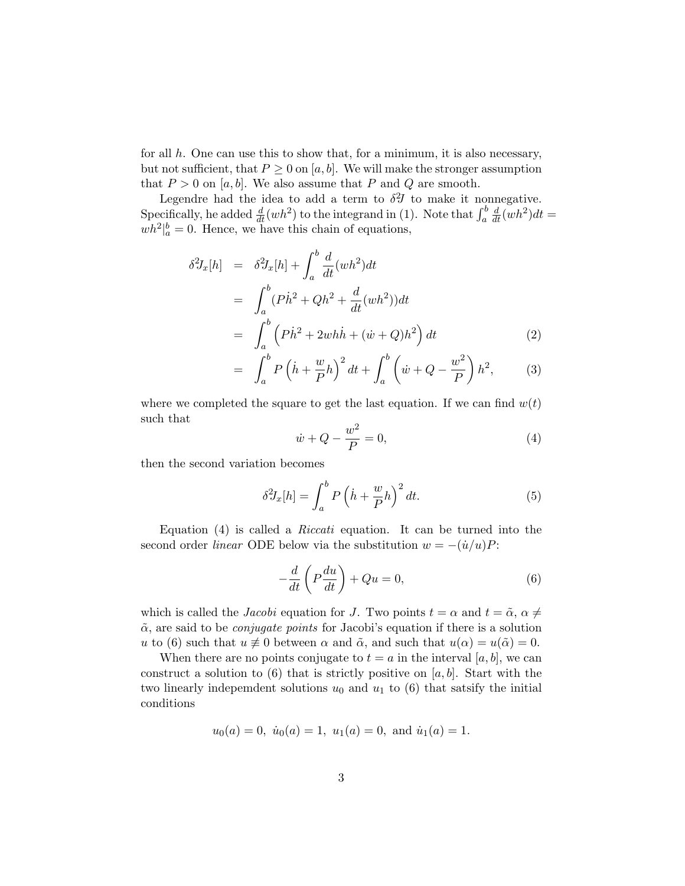for all  $h$ . One can use this to show that, for a minimum, it is also necessary, but not sufficient, that  $P \geq 0$  on [a, b]. We will make the stronger assumption that  $P > 0$  on  $[a, b]$ . We also assume that P and Q are smooth.

Legendre had the idea to add a term to  $\delta^2 J$  to make it nonnegative. Specifically, he added  $\frac{d}{dt}(wh^2)$  to the integrand in (1). Note that  $\int_a^b$  $\frac{d}{dt}(wh^2)dt =$  $wh^2|_a^b = 0$ . Hence, we have this chain of equations,

$$
\delta^2 J_x[h] = \delta^2 J_x[h] + \int_a^b \frac{d}{dt} (wh^2) dt
$$
  
= 
$$
\int_a^b (P\dot{h}^2 + Qh^2 + \frac{d}{dt}(wh^2)) dt
$$
  
= 
$$
\int_a^b (P\dot{h}^2 + 2wh\dot{h} + (\dot{w} + Q)h^2) dt
$$
 (2)

$$
= \int_{a}^{b} P\left(\dot{h} + \frac{w}{P}h\right)^{2} dt + \int_{a}^{b} \left(\dot{w} + Q - \frac{w^{2}}{P}\right) h^{2}, \quad (3)
$$

where we completed the square to get the last equation. If we can find  $w(t)$ such that

$$
\dot{w} + Q - \frac{w^2}{P} = 0,\tag{4}
$$

then the second variation becomes

$$
\delta^2 J_x[h] = \int_a^b P\left(\dot{h} + \frac{w}{P}h\right)^2 dt. \tag{5}
$$

Equation (4) is called a Riccati equation. It can be turned into the second order *linear* ODE below via the substitution  $w = -(u/u)P$ :

$$
-\frac{d}{dt}\left(P\frac{du}{dt}\right) + Qu = 0,\t\t(6)
$$

which is called the *Jacobi* equation for J. Two points  $t = \alpha$  and  $t = \tilde{\alpha}$ ,  $\alpha \neq$  $\tilde{\alpha}$ , are said to be *conjugate points* for Jacobi's equation if there is a solution u to (6) such that  $u \neq 0$  between  $\alpha$  and  $\tilde{\alpha}$ , and such that  $u(\alpha) = u(\tilde{\alpha}) = 0$ .

When there are no points conjugate to  $t = a$  in the interval [a, b], we can construct a solution to  $(6)$  that is strictly positive on  $[a, b]$ . Start with the two linearly independent solutions  $u_0$  and  $u_1$  to (6) that satsify the initial conditions

$$
u_0(a) = 0
$$
,  $\dot{u}_0(a) = 1$ ,  $u_1(a) = 0$ , and  $\dot{u}_1(a) = 1$ .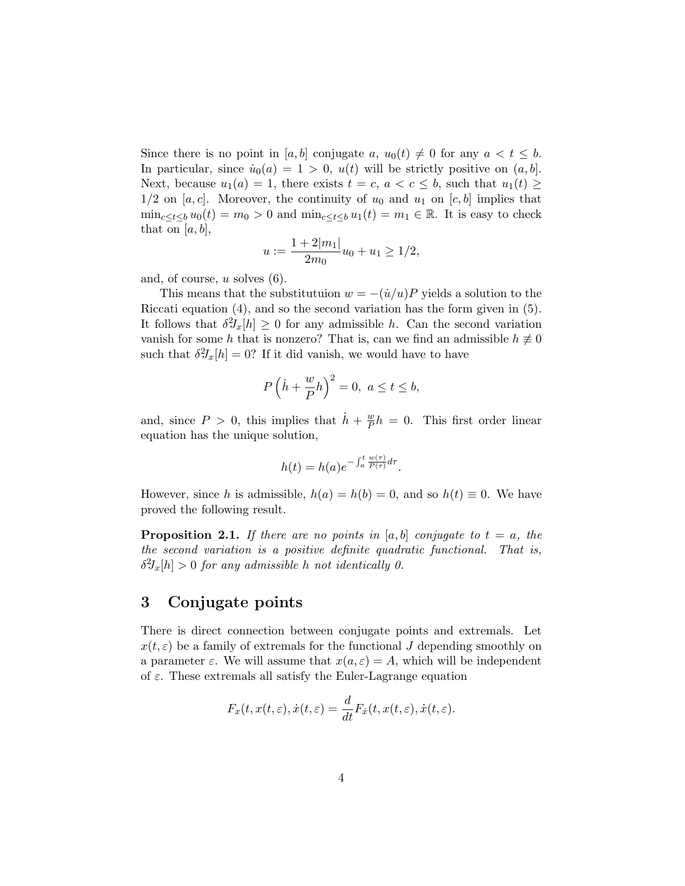Since there is no point in [a, b] conjugate a,  $u_0(t) \neq 0$  for any  $a < t \leq b$ . In particular, since  $\dot{u}_0(a) = 1 > 0$ ,  $u(t)$  will be strictly positive on  $(a, b]$ . Next, because  $u_1(a) = 1$ , there exists  $t = c, a < c \leq b$ , such that  $u_1(t) \geq$  $1/2$  on [a, c]. Moreover, the continuity of  $u_0$  and  $u_1$  on [c, b] implies that  $\min_{c \le t \le b} u_0(t) = m_0 > 0$  and  $\min_{c \le t \le b} u_1(t) = m_1 \in \mathbb{R}$ . It is easy to check that on  $|a, b|$ ,

$$
u := \frac{1 + 2|m_1|}{2m_0}u_0 + u_1 \ge 1/2,
$$

and, of course,  $u$  solves  $(6)$ .

This means that the substitutuion  $w = -(u/u)P$  yields a solution to the Riccati equation (4), and so the second variation has the form given in (5). It follows that  $\delta^2 J_x[h] \geq 0$  for any admissible h. Can the second variation vanish for some h that is nonzero? That is, can we find an admissible  $h \neq 0$ such that  $\delta^2 J_x[h] = 0$ ? If it did vanish, we would have to have

$$
P\left(\dot{h} + \frac{w}{P}h\right)^2 = 0, \ a \le t \le b,
$$

and, since  $P > 0$ , this implies that  $\dot{h} + \frac{w}{P}$  $\frac{w}{P}h = 0$ . This first order linear equation has the unique solution,

$$
h(t) = h(a)e^{-\int_a^t \frac{w(\tau)}{P(\tau)}d\tau}.
$$

However, since h is admissible,  $h(a) = h(b) = 0$ , and so  $h(t) \equiv 0$ . We have proved the following result.

**Proposition 2.1.** If there are no points in [a, b] conjugate to  $t = a$ , the the second variation is a positive definite quadratic functional. That is,  $\delta^2 J_x[h] > 0$  for any admissible h not identically 0.

### 3 Conjugate points

There is direct connection between conjugate points and extremals. Let  $x(t, \varepsilon)$  be a family of extremals for the functional J depending smoothly on a parameter  $\varepsilon$ . We will assume that  $x(a, \varepsilon) = A$ , which will be independent of  $\varepsilon$ . These extremals all satisfy the Euler-Lagrange equation

$$
F_x(t, x(t, \varepsilon), \dot{x}(t, \varepsilon)) = \frac{d}{dt} F_{\dot{x}}(t, x(t, \varepsilon), \dot{x}(t, \varepsilon)).
$$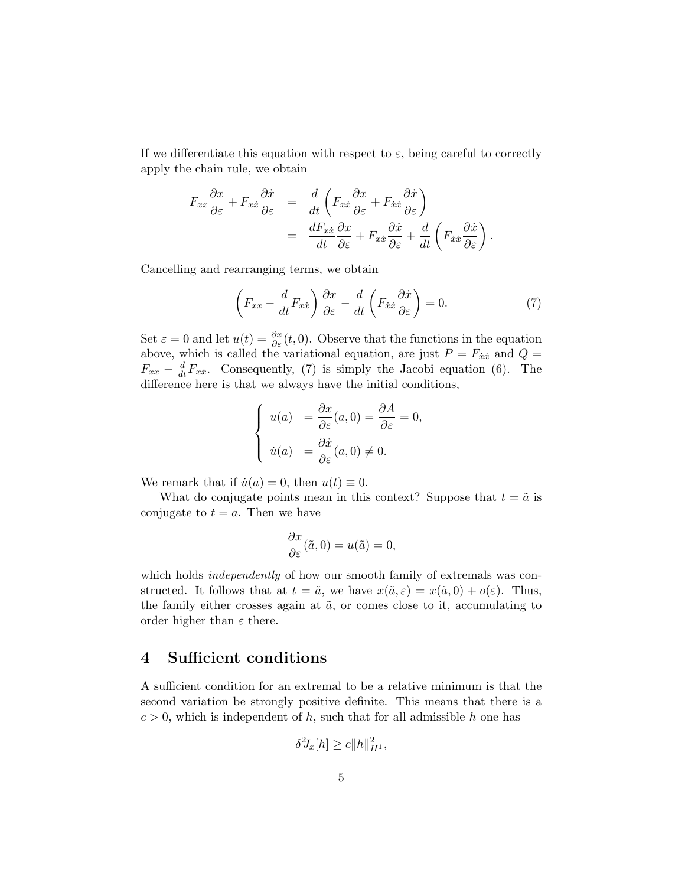If we differentiate this equation with respect to  $\varepsilon$ , being careful to correctly apply the chain rule, we obtain

$$
F_{xx}\frac{\partial x}{\partial \varepsilon} + F_{xx}\frac{\partial \dot{x}}{\partial \varepsilon} = \frac{d}{dt}\left(F_{xx}\frac{\partial x}{\partial \varepsilon} + F_{\dot{x}\dot{x}}\frac{\partial \dot{x}}{\partial \varepsilon}\right)
$$
  

$$
= \frac{dF_{xx}}{dt}\frac{\partial x}{\partial \varepsilon} + F_{x\dot{x}}\frac{\partial \dot{x}}{\partial \varepsilon} + \frac{d}{dt}\left(F_{\dot{x}\dot{x}}\frac{\partial \dot{x}}{\partial \varepsilon}\right).
$$

Cancelling and rearranging terms, we obtain

$$
\left(F_{xx} - \frac{d}{dt}F_{x\dot{x}}\right)\frac{\partial x}{\partial \varepsilon} - \frac{d}{dt}\left(F_{\dot{x}\dot{x}}\frac{\partial \dot{x}}{\partial \varepsilon}\right) = 0.
$$
\n(7)

Set  $\varepsilon = 0$  and let  $u(t) = \frac{\partial x}{\partial \varepsilon}(t, 0)$ . Observe that the functions in the equation above, which is called the variational equation, are just  $P = F_{\dot{x}\dot{x}}$  and  $Q =$  $F_{xx} - \frac{d}{dt} F_{xx}$ . Consequently, (7) is simply the Jacobi equation (6). The difference here is that we always have the initial conditions,

$$
\begin{cases}\n u(a) &= \frac{\partial x}{\partial \varepsilon}(a,0) = \frac{\partial A}{\partial \varepsilon} = 0, \\
\dot{u}(a) &= \frac{\partial \dot{x}}{\partial \varepsilon}(a,0) \neq 0.\n\end{cases}
$$

We remark that if  $\dot{u}(a) = 0$ , then  $u(t) \equiv 0$ .

What do conjugate points mean in this context? Suppose that  $t = \tilde{a}$  is conjugate to  $t = a$ . Then we have

$$
\frac{\partial x}{\partial \varepsilon}(\tilde{a},0) = u(\tilde{a}) = 0,
$$

which holds *independently* of how our smooth family of extremals was constructed. It follows that at  $t = \tilde{a}$ , we have  $x(\tilde{a}, \varepsilon) = x(\tilde{a}, 0) + o(\varepsilon)$ . Thus, the family either crosses again at  $\tilde{a}$ , or comes close to it, accumulating to order higher than  $\varepsilon$  there.

#### 4 Sufficient conditions

A sufficient condition for an extremal to be a relative minimum is that the second variation be strongly positive definite. This means that there is a  $c > 0$ , which is independent of h, such that for all admissible h one has

$$
\delta^2 J_x[h] \ge c \|h\|_{H^1}^2,
$$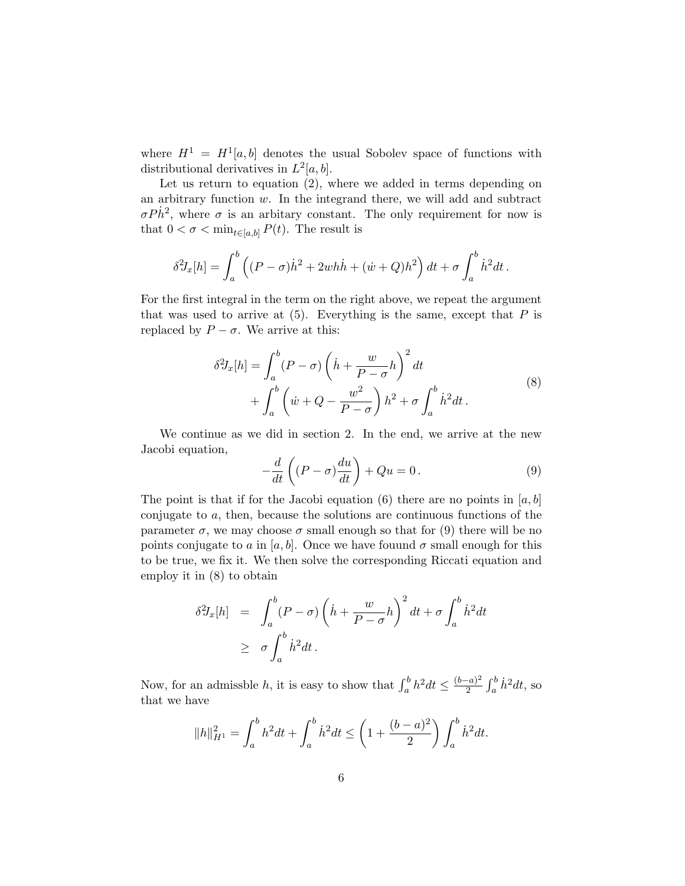where  $H^1 = H^1[a, b]$  denotes the usual Sobolev space of functions with distributional derivatives in  $L^2[a, b]$ .

Let us return to equation (2), where we added in terms depending on an arbitrary function w. In the integrand there, we will add and subtract  $\sigma P \dot{h}^2$ , where  $\sigma$  is an arbitary constant. The only requirement for now is that  $0 < \sigma < \min_{t \in [a,b]} P(t)$ . The result is

$$
\delta^2 J_x[h] = \int_a^b \left( (P - \sigma)\dot{h}^2 + 2wh\dot{h} + (\dot{w} + Q)h^2 \right) dt + \sigma \int_a^b \dot{h}^2 dt.
$$

For the first integral in the term on the right above, we repeat the argument that was used to arrive at  $(5)$ . Everything is the same, except that P is replaced by  $P - \sigma$ . We arrive at this:

$$
\delta^2 J_x[h] = \int_a^b (P - \sigma) \left(\dot{h} + \frac{w}{P - \sigma} h\right)^2 dt
$$
  
+ 
$$
\int_a^b \left(\dot{w} + Q - \frac{w^2}{P - \sigma}\right) h^2 + \sigma \int_a^b \dot{h}^2 dt.
$$
 (8)

We continue as we did in section 2. In the end, we arrive at the new Jacobi equation,

$$
-\frac{d}{dt}\left((P-\sigma)\frac{du}{dt}\right) + Qu = 0.
$$
\n(9)

The point is that if for the Jacobi equation (6) there are no points in  $[a, b]$ conjugate to a, then, because the solutions are continuous functions of the parameter  $\sigma$ , we may choose  $\sigma$  small enough so that for (9) there will be no points conjugate to a in [a, b]. Once we have fouund  $\sigma$  small enough for this to be true, we fix it. We then solve the corresponding Riccati equation and employ it in (8) to obtain

$$
\delta^2 J_x[h] = \int_a^b (P - \sigma) \left(\dot{h} + \frac{w}{P - \sigma} h\right)^2 dt + \sigma \int_a^b \dot{h}^2 dt
$$
  
 
$$
\geq \sigma \int_a^b \dot{h}^2 dt.
$$

Now, for an admissble h, it is easy to show that  $\int_a^b h^2 dt \leq \frac{(b-a)^2}{2}$  $\frac{(-a)^2}{2} \int_a^b \dot{h}^2 dt$ , so that we have

$$
||h||_{H^1}^2 = \int_a^b h^2 dt + \int_a^b \dot{h}^2 dt \le \left(1 + \frac{(b-a)^2}{2}\right) \int_a^b \dot{h}^2 dt.
$$